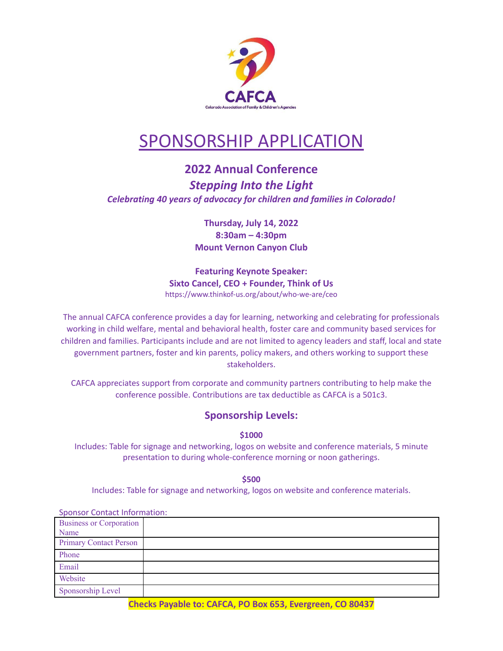

# SPONSORSHIP APPLICATION

## **2022 Annual Conference** *Stepping Into the Light Celebrating 40 years of advocacy for children and families in Colorado!*

**Thursday, July 14, 2022 8:30am – 4:30pm Mount Vernon Canyon Club**

**Featuring Keynote Speaker: Sixto Cancel, CEO + Founder, Think of Us** https://www.thinkof-us.org/about/who-we-are/ceo

The annual CAFCA conference provides a day for learning, networking and celebrating for professionals working in child welfare, mental and behavioral health, foster care and community based services for children and families. Participants include and are not limited to agency leaders and staff, local and state government partners, foster and kin parents, policy makers, and others working to support these stakeholders.

CAFCA appreciates support from corporate and community partners contributing to help make the conference possible. Contributions are tax deductible as CAFCA is a 501c3.

## **Sponsorship Levels:**

**\$1000**

Includes: Table for signage and networking, logos on website and conference materials, 5 minute presentation to during whole-conference morning or noon gatherings.

**\$500**

Includes: Table for signage and networking, logos on website and conference materials.

| <b>Sponsor Contact Information:</b> |  |
|-------------------------------------|--|
| <b>Business or Corporation</b>      |  |
| Name                                |  |
| <b>Primary Contact Person</b>       |  |
| Phone                               |  |
| Email                               |  |
| Website                             |  |
| Sponsorship Level                   |  |

**Checks Payable to: CAFCA, PO Box 653, Evergreen, CO 80437**